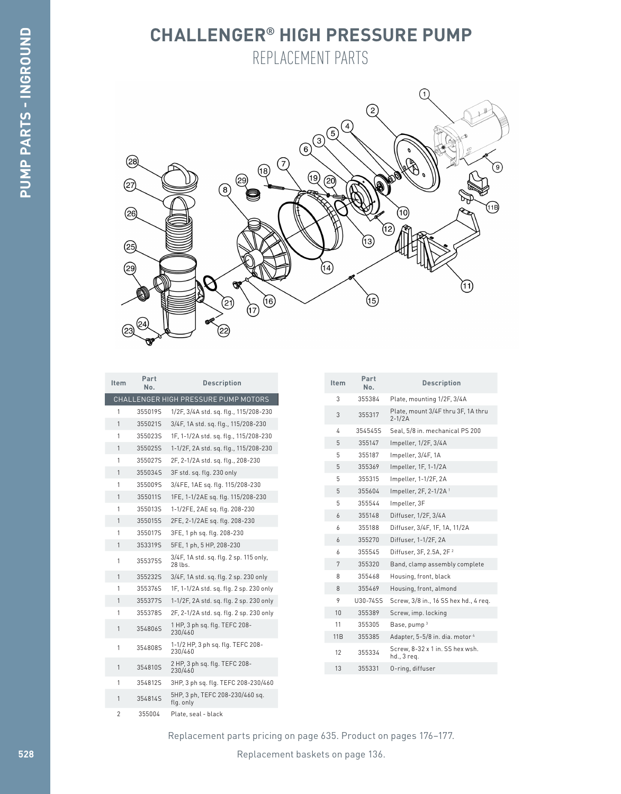## **CHALLENGER® HIGH PRESSURE PUMP** REPLACEMENT PARTS



| Item         | Part<br>No.                             | <b>Description</b>                                |
|--------------|-----------------------------------------|---------------------------------------------------|
|              |                                         | CHALLENGER HIGH PRESSURE PUMP MOTORS              |
| 1            | 355019S                                 | 1/2F, 3/4A std. sq. flg., 115/208-230             |
| 1            | 355021S                                 | 3/4F, 1A std. sq. flg., 115/208-230               |
| 1            | 355023S                                 | 1F, 1-1/2A std. sq. flg., 115/208-230             |
| 1            | 355025S                                 | 1-1/2F, 2A std. sq. flg., 115/208-230             |
| 1            | 355027S                                 | 2F, 2-1/2A std. sq. flg., 208-230                 |
| 1            | 355034S                                 | 3F std. sq. flg. 230 only                         |
| 1            | 355009S                                 | 3/4FE, 1AE sq. flq. 115/208-230                   |
| 1            | 355011S                                 | 1FE, 1-1/2AE sq. flg. 115/208-230                 |
| 1            | 355013S                                 | 1-1/2FE, 2AE sq. flg. 208-230                     |
| 1            | 355015S                                 | 2FE, 2-1/2AE sq. flg. 208-230                     |
| 1            | 355017S                                 | 3FE, 1 ph sq. flg. 208-230                        |
| 1            | 353319S                                 | 5FE, 1 ph, 5 HP, 208-230                          |
| 1            | 355375S                                 | 3/4F, 1A std. sq. flg. 2 sp. 115 only,<br>28 lbs. |
| 1            | 355232S                                 | 3/4F, 1A std. sq. flg. 2 sp. 230 only             |
| 1            | 355376S                                 | 1F, 1-1/2A std. sq. flg. 2 sp. 230 only           |
| 1            | 355377S                                 | 1-1/2F, 2A std. sq. flg. 2 sp. 230 only           |
| 1<br>355378S | 2F, 2-1/2A std. sq. flg. 2 sp. 230 only |                                                   |
| 1            | 354806S                                 | 1 HP, 3 ph sq. flq. TEFC 208-<br>230/460          |
| 1            | 354808S                                 | 1-1/2 HP, 3 ph sq. flq. TEFC 208-<br>230/460      |
| 1            | 354810S                                 | 2 HP, 3 ph sq. flg. TEFC 208-<br>230/460          |
| 1            | 354812S                                 | 3HP, 3 ph sq. flq. TEFC 208-230/460               |
| 1            | 354814S                                 | 5HP, 3 ph, TEFC 208-230/460 sq.<br>flg. only      |
| 2            | 355004                                  | Plate, seal - black                               |

| <b>Item</b> | Part<br>No. | <b>Description</b>                               |
|-------------|-------------|--------------------------------------------------|
| 3           | 355384      | Plate, mounting 1/2F, 3/4A                       |
| 3           | 355317      | Plate, mount 3/4F thru 3F, 1A thru<br>$2 - 1/2A$ |
| 4           | 3545455     | Seal, 5/8 in. mechanical PS 200                  |
| 5           | 355147      | Impeller, 1/2F, 3/4A                             |
| 5           | 355187      | Impeller, 3/4F, 1A                               |
| 5           | 355369      | Impeller, 1F, 1-1/2A                             |
| 5           | 355315      | Impeller, 1-1/2F, 2A                             |
| 5           | 355604      | Impeller, 2F, 2-1/2A <sup>1</sup>                |
| 5           | 355544      | Impeller, 3F                                     |
| 6           | 355148      | Diffuser, 1/2F, 3/4A                             |
| 6           | 355188      | Diffuser, 3/4F, 1F, 1A, 11/2A                    |
| 6           | 355270      | Diffuser, 1-1/2F, 2A                             |
| 6           | 355545      | Diffuser, 3F, 2.5A, 2F <sup>2</sup>              |
| 7           | 355320      | Band, clamp assembly complete                    |
| 8           | 355468      | Housing, front, black                            |
| 8           | 355469      | Housing, front, almond                           |
| 9           | U30-74SS    | Screw, 3/8 in., 16 SS hex hd., 4 req.            |
| 10          | 355389      | Screw, imp. locking                              |
| 11          | 355305      | Base, pump <sup>3</sup>                          |
| 11B         | 355385      | Adapter, 5-5/8 in. dia. motor 4                  |
| 12          | 355334      | Screw, 8-32 x 1 in. SS hex wsh.<br>hd., 3 reg.   |
| 13          | 355331      | 0-ring, diffuser                                 |